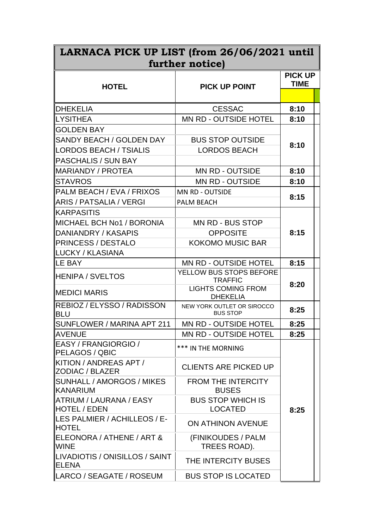| LARNACA PICK UP LIST (from 26/06/2021 until<br>further notice) |                                               |             |  |
|----------------------------------------------------------------|-----------------------------------------------|-------------|--|
|                                                                |                                               |             |  |
| <b>HOTEL</b>                                                   | <b>PICK UP POINT</b>                          | <b>TIME</b> |  |
|                                                                |                                               |             |  |
| <b>DHEKELIA</b>                                                | <b>CESSAC</b>                                 | 8:10        |  |
| ∥LYSITHEA                                                      | <b>MN RD - OUTSIDE HOTEL</b>                  | 8:10        |  |
| <b>GOLDEN BAY</b>                                              |                                               | 8:10        |  |
| SANDY BEACH / GOLDEN DAY                                       | <b>BUS STOP OUTSIDE</b>                       |             |  |
| ∥LORDOS BEACH / TSIALIS                                        | <b>LORDOS BEACH</b>                           |             |  |
| <b>PASCHALIS / SUN BAY</b>                                     |                                               |             |  |
| MARIANDY / PROTEA                                              | <b>MN RD - OUTSIDE</b>                        | 8:10        |  |
| <b>STAVROS</b>                                                 | <b>MN RD - OUTSIDE</b>                        | 8:10        |  |
| PALM BEACH / EVA / FRIXOS                                      | <b>MN RD - OUTSIDE</b>                        | 8:15        |  |
| ∥ARIS / PATSALIA / VERGI                                       | <b>PALM BEACH</b>                             |             |  |
| <b>IKARPASITIS</b>                                             |                                               |             |  |
| MICHAEL BCH No1 / BORONIA                                      | <b>MN RD - BUS STOP</b>                       | 8:15        |  |
| DANIANDRY / KASAPIS                                            | <b>OPPOSITE</b>                               |             |  |
| PRINCESS / DESTALO                                             | <b>KOKOMO MUSIC BAR</b>                       |             |  |
| ∥LUCKY / KLASIANA                                              |                                               |             |  |
| ∥LE BAY                                                        | <b>MN RD - OUTSIDE HOTEL</b>                  | 8:15        |  |
| HENIPA / SVELTOS                                               | YELLOW BUS STOPS BEFORE<br><b>TRAFFIC</b>     | 8:20        |  |
| <b>IMEDICI MARIS</b>                                           | <b>LIGHTS COMING FROM</b><br><b>DHEKELIA</b>  |             |  |
| REBIOZ / ELYSSO / RADISSON<br><b>BLU</b>                       | NEW YORK OUTLET OR SIROCCO<br><b>BUS STOP</b> | 8:25        |  |
| SUNFLOWER / MARINA APT 211                                     | <b>MN RD - OUTSIDE HOTEL</b>                  | 8:25        |  |
| <b>AVENUE</b>                                                  | <b>MN RD - OUTSIDE HOTEL</b>                  | 8:25        |  |
| EASY / FRANGIORGIO /<br><b>PELAGOS / QBIC</b>                  | *** IN THE MORNING                            |             |  |
| KITION / ANDREAS APT /<br>∥ZODIAC / BLAZER                     | <b>CLIENTS ARE PICKED UP</b>                  | 8:25        |  |
| SUNHALL / AMORGOS / MIKES<br>∥KANARIUM                         | <b>FROM THE INTERCITY</b><br><b>BUSES</b>     |             |  |
| ∥ATRIUM / LAURANA / EASY<br>HOTEL / EDEN                       | <b>BUS STOP WHICH IS</b><br><b>LOCATED</b>    |             |  |
| ILES PALMIER / ACHILLEOS / E-<br><b>HOTEL</b>                  | ON ATHINON AVENUE                             |             |  |
| ELEONORA / ATHENE / ART &<br><b>IWINE</b>                      | (FINIKOUDES / PALM<br>TREES ROAD).            |             |  |
| ILIVADIOTIS / ONISILLOS / SAINT<br>∥ELENA                      | THE INTERCITY BUSES                           |             |  |
| ∥LARCO / SEAGATE / ROSEUM                                      | <b>BUS STOP IS LOCATED</b>                    |             |  |